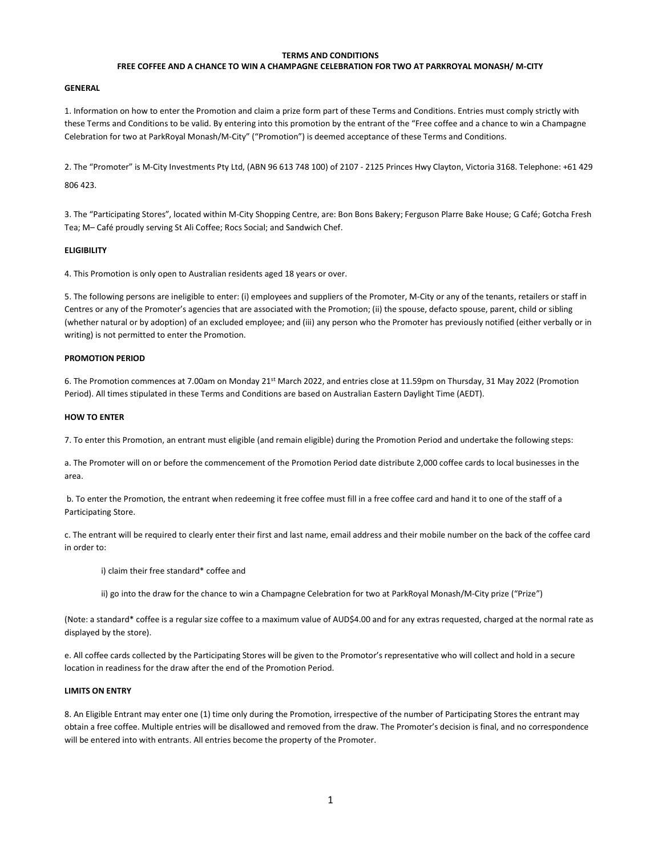## TERMS AND CONDITIONS

## FREE COFFEE AND A CHANCE TO WIN A CHAMPAGNE CELEBRATION FOR TWO AT PARKROYAL MONASH/ M-CITY

### GENERAL

1. Information on how to enter the Promotion and claim a prize form part of these Terms and Conditions. Entries must comply strictly with these Terms and Conditions to be valid. By entering into this promotion by the entrant of the "Free coffee and a chance to win a Champagne Celebration for two at ParkRoyal Monash/M-City" ("Promotion") is deemed acceptance of these Terms and Conditions.

2. The "Promoter" is M-City Investments Pty Ltd, (ABN 96 613 748 100) of 2107 - 2125 Princes Hwy Clayton, Victoria 3168. Telephone: +61 429

806 423.

3. The "Participating Stores", located within M-City Shopping Centre, are: Bon Bons Bakery; Ferguson Plarre Bake House; G Café; Gotcha Fresh Tea; M– Café proudly serving St Ali Coffee; Rocs Social; and Sandwich Chef.

### ELIGIBILITY

4. This Promotion is only open to Australian residents aged 18 years or over.

5. The following persons are ineligible to enter: (i) employees and suppliers of the Promoter, M-City or any of the tenants, retailers or staff in Centres or any of the Promoter's agencies that are associated with the Promotion; (ii) the spouse, defacto spouse, parent, child or sibling (whether natural or by adoption) of an excluded employee; and (iii) any person who the Promoter has previously notified (either verbally or in writing) is not permitted to enter the Promotion.

# PROMOTION PERIOD

6. The Promotion commences at 7.00am on Monday 21st March 2022, and entries close at 11.59pm on Thursday, 31 May 2022 (Promotion Period). All times stipulated in these Terms and Conditions are based on Australian Eastern Daylight Time (AEDT).

# HOW TO ENTER

7. To enter this Promotion, an entrant must eligible (and remain eligible) during the Promotion Period and undertake the following steps:

a. The Promoter will on or before the commencement of the Promotion Period date distribute 2,000 coffee cards to local businesses in the area.

 b. To enter the Promotion, the entrant when redeeming it free coffee must fill in a free coffee card and hand it to one of the staff of a Participating Store.

c. The entrant will be required to clearly enter their first and last name, email address and their mobile number on the back of the coffee card in order to:

i) claim their free standard\* coffee and

ii) go into the draw for the chance to win a Champagne Celebration for two at ParkRoyal Monash/M-City prize ("Prize")

(Note: a standard\* coffee is a regular size coffee to a maximum value of AUD\$4.00 and for any extras requested, charged at the normal rate as displayed by the store).

e. All coffee cards collected by the Participating Stores will be given to the Promotor's representative who will collect and hold in a secure location in readiness for the draw after the end of the Promotion Period.

# LIMITS ON ENTRY

8. An Eligible Entrant may enter one (1) time only during the Promotion, irrespective of the number of Participating Stores the entrant may obtain a free coffee. Multiple entries will be disallowed and removed from the draw. The Promoter's decision is final, and no correspondence will be entered into with entrants. All entries become the property of the Promoter.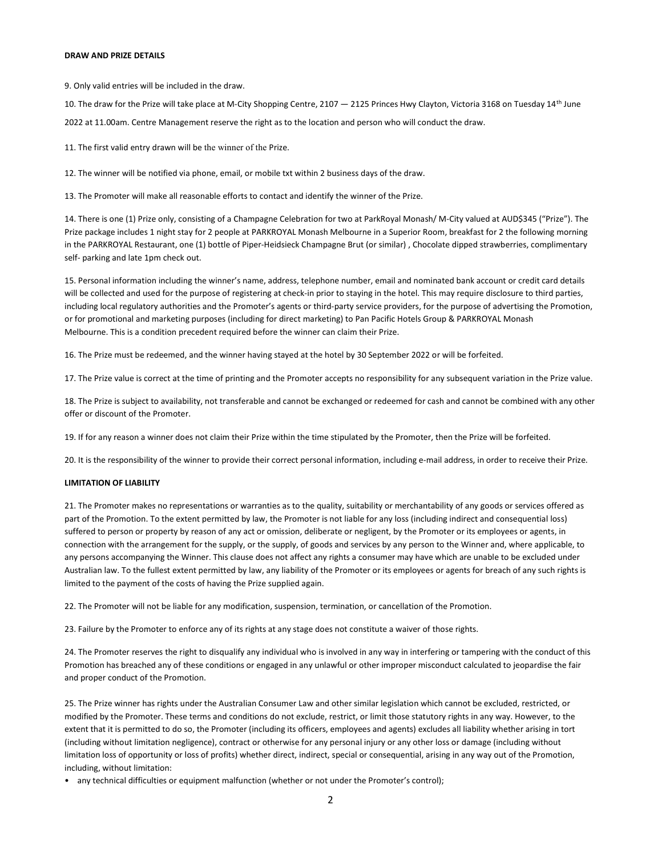#### DRAW AND PRIZE DETAILS

9. Only valid entries will be included in the draw.

10. The draw for the Prize will take place at M-City Shopping Centre, 2107 — 2125 Princes Hwy Clayton, Victoria 3168 on Tuesday 14th June 2022 at 11.00am. Centre Management reserve the right as to the location and person who will conduct the draw.

11. The first valid entry drawn will be the winner of the Prize.

12. The winner will be notified via phone, email, or mobile txt within 2 business days of the draw.

13. The Promoter will make all reasonable efforts to contact and identify the winner of the Prize.

14. There is one (1) Prize only, consisting of a Champagne Celebration for two at ParkRoyal Monash/ M-City valued at AUD\$345 ("Prize"). The Prize package includes 1 night stay for 2 people at PARKROYAL Monash Melbourne in a Superior Room, breakfast for 2 the following morning in the PARKROYAL Restaurant, one (1) bottle of Piper-Heidsieck Champagne Brut (or similar) , Chocolate dipped strawberries, complimentary self- parking and late 1pm check out.

15. Personal information including the winner's name, address, telephone number, email and nominated bank account or credit card details will be collected and used for the purpose of registering at check-in prior to staying in the hotel. This may require disclosure to third parties, including local regulatory authorities and the Promoter's agents or third-party service providers, for the purpose of advertising the Promotion, or for promotional and marketing purposes (including for direct marketing) to Pan Pacific Hotels Group & PARKROYAL Monash Melbourne. This is a condition precedent required before the winner can claim their Prize.

16. The Prize must be redeemed, and the winner having stayed at the hotel by 30 September 2022 or will be forfeited.

17. The Prize value is correct at the time of printing and the Promoter accepts no responsibility for any subsequent variation in the Prize value.

18. The Prize is subject to availability, not transferable and cannot be exchanged or redeemed for cash and cannot be combined with any other offer or discount of the Promoter.

19. If for any reason a winner does not claim their Prize within the time stipulated by the Promoter, then the Prize will be forfeited.

20. It is the responsibility of the winner to provide their correct personal information, including e-mail address, in order to receive their Prize.

### LIMITATION OF LIABILITY

21. The Promoter makes no representations or warranties as to the quality, suitability or merchantability of any goods or services offered as part of the Promotion. To the extent permitted by law, the Promoter is not liable for any loss (including indirect and consequential loss) suffered to person or property by reason of any act or omission, deliberate or negligent, by the Promoter or its employees or agents, in connection with the arrangement for the supply, or the supply, of goods and services by any person to the Winner and, where applicable, to any persons accompanying the Winner. This clause does not affect any rights a consumer may have which are unable to be excluded under Australian law. To the fullest extent permitted by law, any liability of the Promoter or its employees or agents for breach of any such rights is limited to the payment of the costs of having the Prize supplied again.

22. The Promoter will not be liable for any modification, suspension, termination, or cancellation of the Promotion.

23. Failure by the Promoter to enforce any of its rights at any stage does not constitute a waiver of those rights.

24. The Promoter reserves the right to disqualify any individual who is involved in any way in interfering or tampering with the conduct of this Promotion has breached any of these conditions or engaged in any unlawful or other improper misconduct calculated to jeopardise the fair and proper conduct of the Promotion.

25. The Prize winner has rights under the Australian Consumer Law and other similar legislation which cannot be excluded, restricted, or modified by the Promoter. These terms and conditions do not exclude, restrict, or limit those statutory rights in any way. However, to the extent that it is permitted to do so, the Promoter (including its officers, employees and agents) excludes all liability whether arising in tort (including without limitation negligence), contract or otherwise for any personal injury or any other loss or damage (including without limitation loss of opportunity or loss of profits) whether direct, indirect, special or consequential, arising in any way out of the Promotion, including, without limitation:

• any technical difficulties or equipment malfunction (whether or not under the Promoter's control);